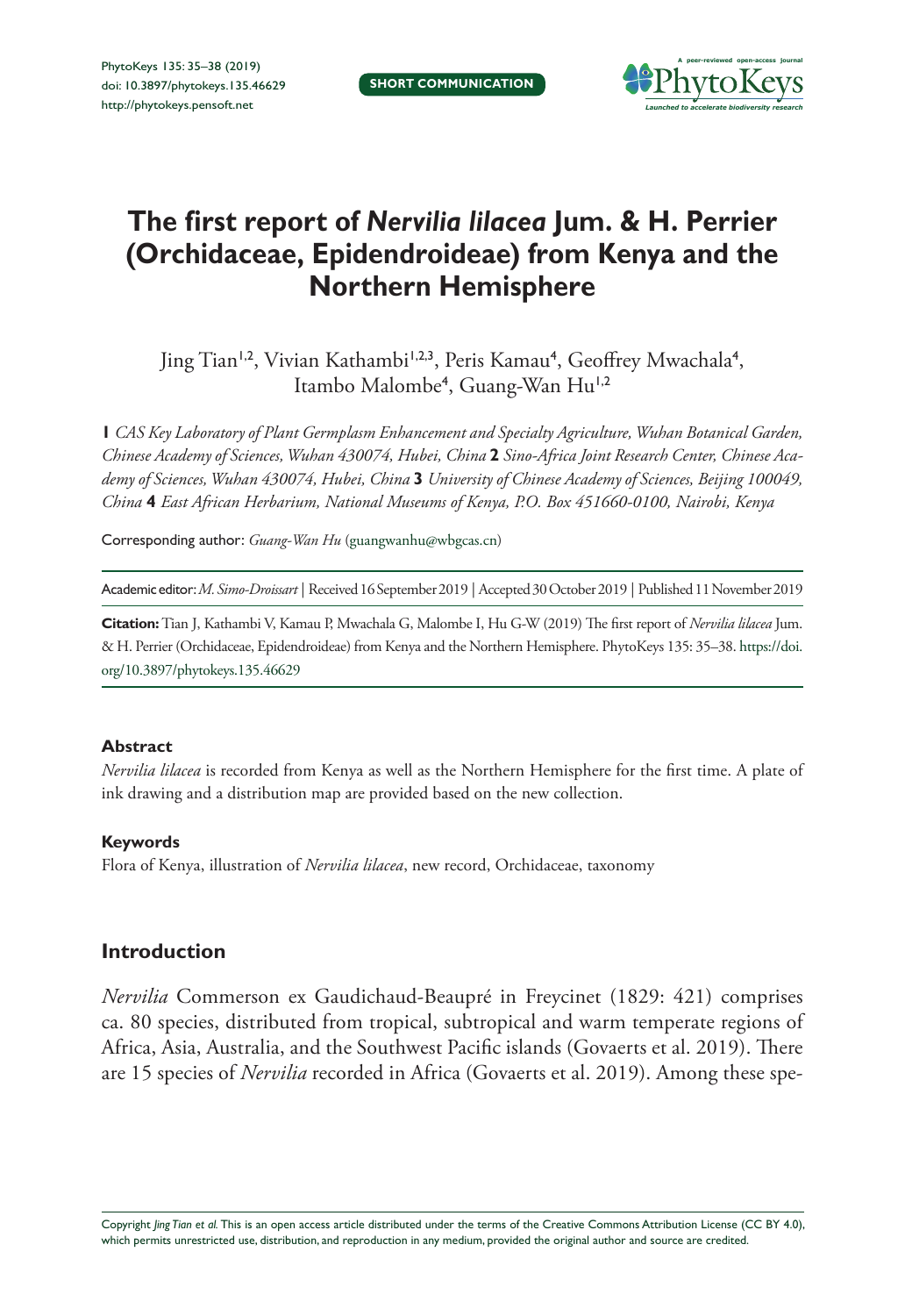

# **The first report of** *Nervilia lilacea* **Jum. & H. Perrier (Orchidaceae, Epidendroideae) from Kenya and the Northern Hemisphere**

Jing Tian<sup>1,2</sup>, Vivian Kathambi<sup>1,2,3</sup>, Peris Kamau<sup>4</sup>, Geoffrey Mwachala<sup>4</sup>, Itambo Malombe<sup>4</sup>, Guang-Wan Hu<sup>1,2</sup>

**1** *CAS Key Laboratory of Plant Germplasm Enhancement and Specialty Agriculture, Wuhan Botanical Garden, Chinese Academy of Sciences, Wuhan 430074, Hubei, China* **2** *Sino-Africa Joint Research Center, Chinese Academy of Sciences, Wuhan 430074, Hubei, China* **3** *University of Chinese Academy of Sciences, Beijing 100049, China* **4** *East African Herbarium, National Museums of Kenya, P.O. Box 451660-0100, Nairobi, Kenya*

Corresponding author: *Guang-Wan Hu* ([guangwanhu@wbgcas.cn](mailto:guangwanhu@wbgcas.cn))

Academic editor:*M. Simo-Droissart* | Received 16 September 2019 | Accepted 30 October 2019 | Published 11 November 2019

**Citation:** Tian J, Kathambi V, Kamau P, Mwachala G, Malombe I, Hu G-W (2019) The first report of *Nervilia lilacea* Jum. & H. Perrier (Orchidaceae, Epidendroideae) from Kenya and the Northern Hemisphere. PhytoKeys 135: 35–38. [https://doi.](https://doi.org/10.3897/phytokeys.135.46629) [org/10.3897/phytokeys.135.46629](https://doi.org/10.3897/phytokeys.135.46629)

#### **Abstract**

*Nervilia lilacea* is recorded from Kenya as well as the Northern Hemisphere for the first time. A plate of ink drawing and a distribution map are provided based on the new collection.

#### **Keywords**

Flora of Kenya, illustration of *Nervilia lilacea*, new record, Orchidaceae, taxonomy

## **Introduction**

*Nervilia* Commerson ex Gaudichaud-Beaupré in Freycinet (1829: 421) comprises ca. 80 species, distributed from tropical, subtropical and warm temperate regions of Africa, Asia, Australia, and the Southwest Pacific islands (Govaerts et al. 2019). There are 15 species of *Nervilia* recorded in Africa (Govaerts et al. 2019). Among these spe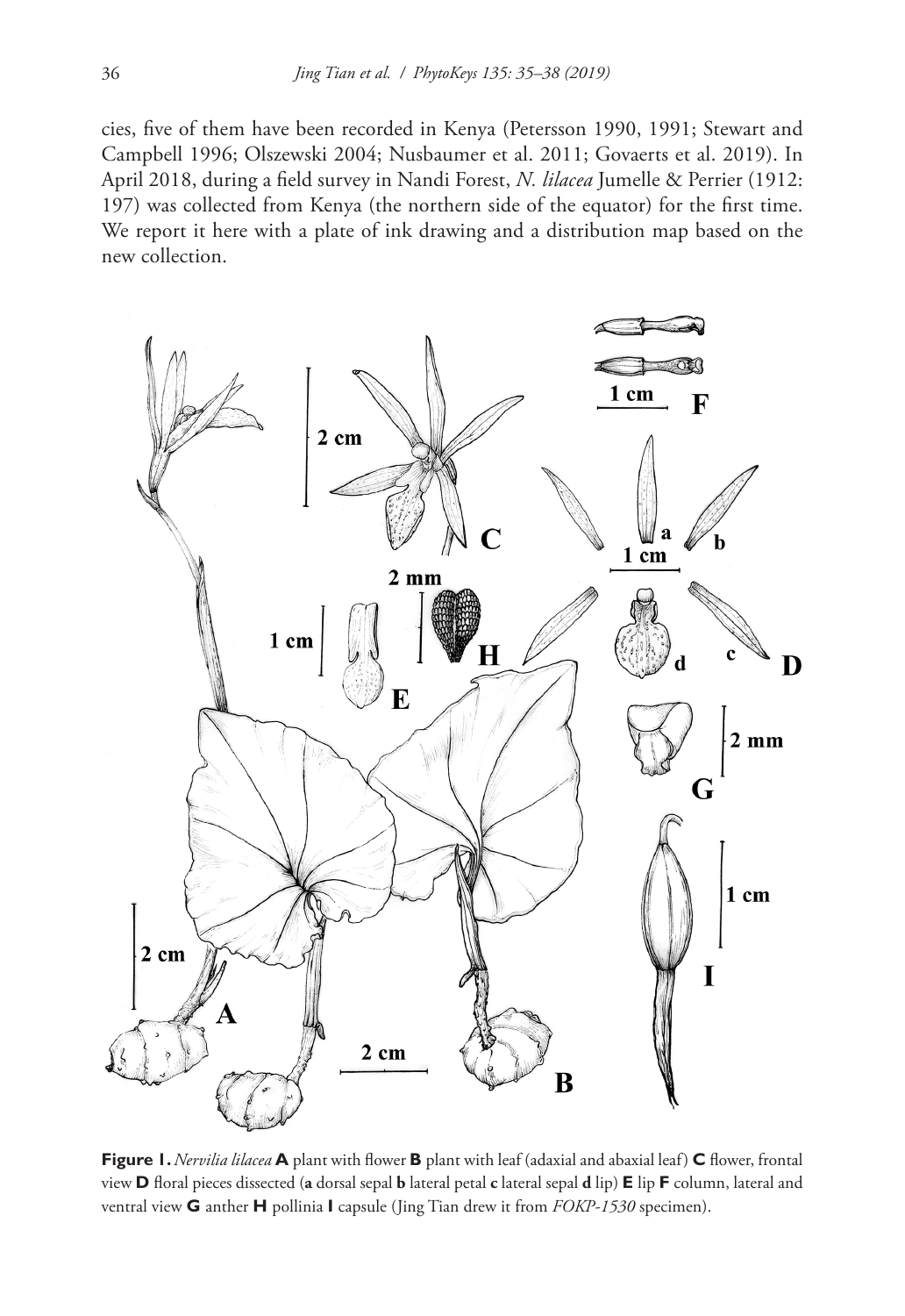cies, five of them have been recorded in Kenya (Petersson 1990, 1991; Stewart and Campbell 1996; Olszewski 2004; Nusbaumer et al. 2011; Govaerts et al. 2019). In April 2018, during a field survey in Nandi Forest, *N. lilacea* Jumelle & Perrier (1912: 197) was collected from Kenya (the northern side of the equator) for the first time. We report it here with a plate of ink drawing and a distribution map based on the new collection.



**Figure 1.** *Nervilia lilacea* **A** plant with flower **B** plant with leaf (adaxial and abaxial leaf) **C** flower, frontal view **D** floral pieces dissected (**a** dorsal sepal **b** lateral petal **c** lateral sepal **d** lip) **E** lip **F** column, lateral and ventral view **G** anther **H** pollinia **I** capsule (Jing Tian drew it from *FOKP-1530* specimen).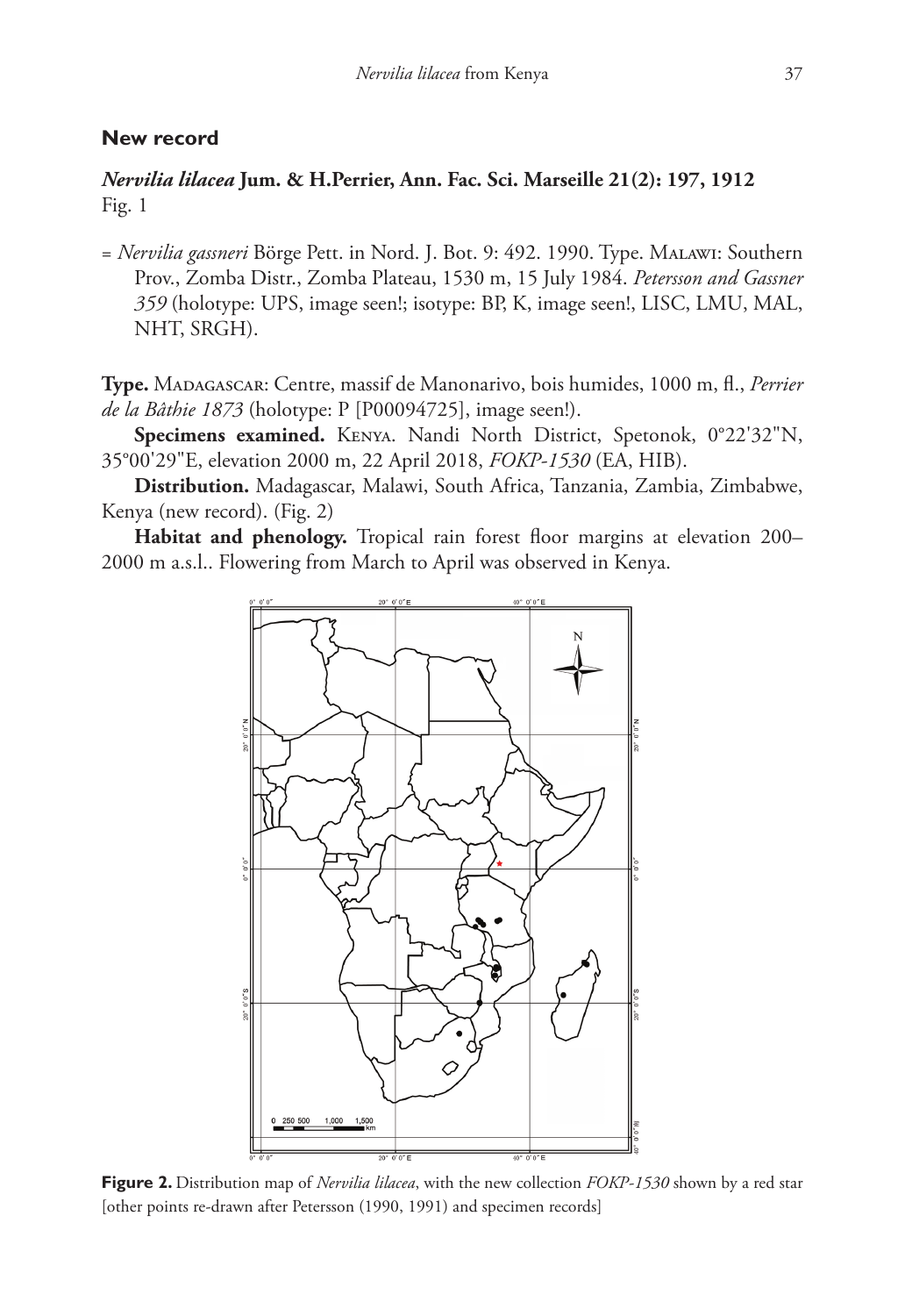## **New record**

*Nervilia lilacea* **Jum. & H.Perrier, Ann. Fac. Sci. Marseille 21(2): 197, 1912** Fig. 1

= *Nervilia gassneri* Börge Pett. in Nord. J. Bot. 9: 492. 1990. Type. Malawi: Southern Prov., Zomba Distr., Zomba Plateau, 1530 m, 15 July 1984. *Petersson and Gassner 359* (holotype: UPS, image seen!; isotype: BP, K, image seen!, LISC, LMU, MAL, NHT, SRGH).

**Type.** Madagascar: Centre, massif de Manonarivo, bois humides, 1000 m, fl., *Perrier de la Bâthie 1873* (holotype: P [P00094725], image seen!).

**Specimens examined.** Kenya. Nandi North District, Spetonok, 0°22'32"N, 35°00'29"E, elevation 2000 m, 22 April 2018, *FOKP-1530* (EA, HIB).

**Distribution.** Madagascar, Malawi, South Africa, Tanzania, Zambia, Zimbabwe, Kenya (new record). (Fig. 2)

**Habitat and phenology.** Tropical rain forest floor margins at elevation 200– 2000 m a.s.l.. Flowering from March to April was observed in Kenya.



**Figure 2.** Distribution map of *Nervilia lilacea*, with the new collection *FOKP-1530* shown by a red star [other points re-drawn after Petersson (1990, 1991) and specimen records]